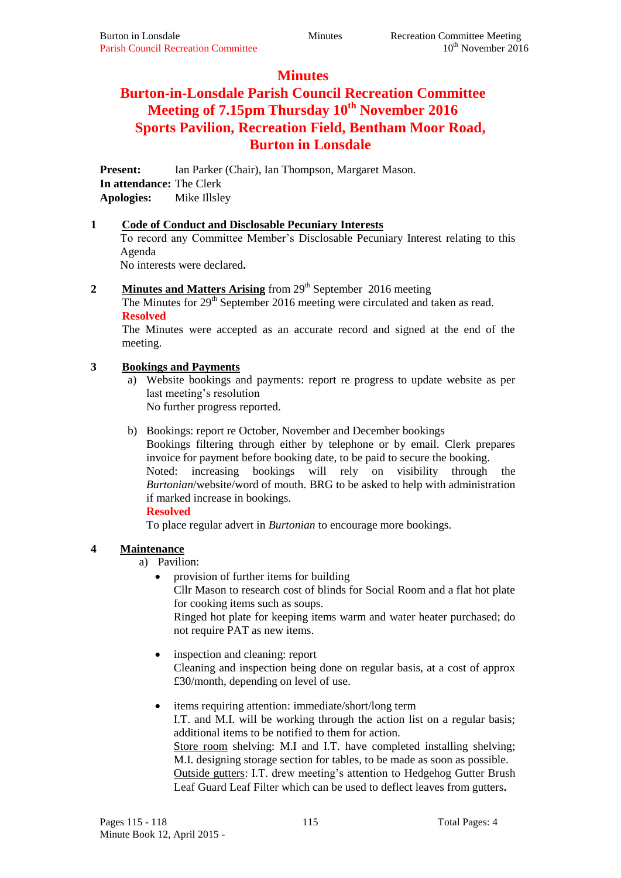## **Minutes**

# **Burton-in-Lonsdale Parish Council Recreation Committee Meeting of 7.15pm Thursday 10th November 2016 Sports Pavilion, Recreation Field, Bentham Moor Road, Burton in Lonsdale**

**Present:** Ian Parker (Chair), Ian Thompson, Margaret Mason. **In attendance:** The Clerk

**Apologies:** Mike Illsley

## **1 Code of Conduct and Disclosable Pecuniary Interests**

To record any Committee Member's Disclosable Pecuniary Interest relating to this Agenda

No interests were declared**.**

2 **Minutes and Matters Arising** from 29<sup>th</sup> September 2016 meeting

The Minutes for  $29<sup>th</sup>$  September 2016 meeting were circulated and taken as read. **Resolved**

The Minutes were accepted as an accurate record and signed at the end of the meeting.

## **3 Bookings and Payments**

Website bookings and payments: report re progress to update website as per last meeting's resolution No further progress reported.

b) Bookings: report re October, November and December bookings Bookings filtering through either by telephone or by email. Clerk prepares invoice for payment before booking date, to be paid to secure the booking. Noted: increasing bookings will rely on visibility through the *Burtonian*/website/word of mouth. BRG to be asked to help with administration if marked increase in bookings.

## **Resolved**

To place regular advert in *Burtonian* to encourage more bookings.

## **4 Maintenance**

- a) Pavilion:
	- provision of further items for building Cllr Mason to research cost of blinds for Social Room and a flat hot plate for cooking items such as soups. Ringed hot plate for keeping items warm and water heater purchased; do not require PAT as new items.
	- inspection and cleaning: report Cleaning and inspection being done on regular basis, at a cost of approx £30/month, depending on level of use.
	- items requiring attention: immediate/short/long term I.T. and M.I. will be working through the action list on a regular basis; additional items to be notified to them for action. Store room shelving: M.I and I.T. have completed installing shelving; M.I. designing storage section for tables, to be made as soon as possible. Outside gutters: I.T. drew meeting's attention to Hedgehog Gutter Brush Leaf Guard Leaf Filter which can be used to deflect leaves from gutters**.**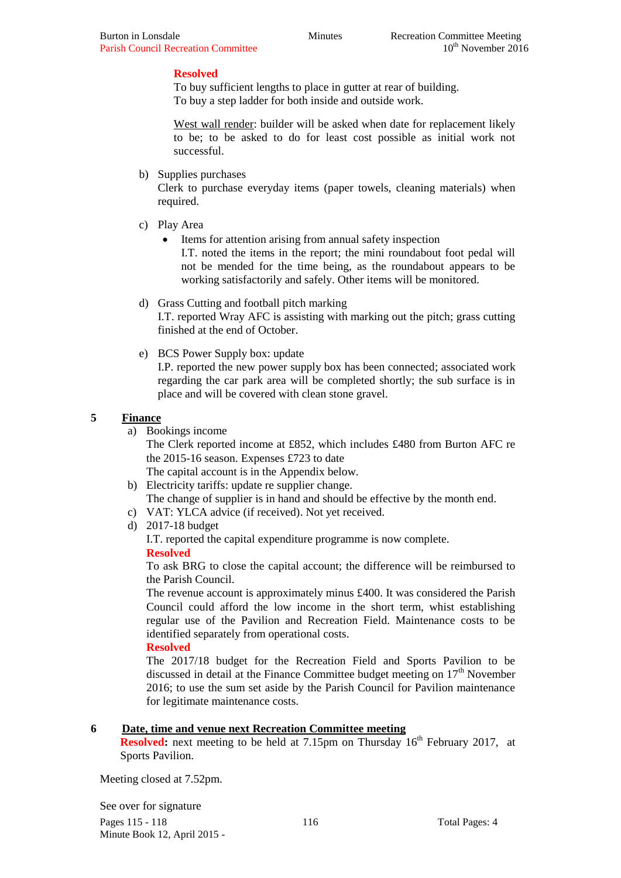#### **Resolved**

To buy sufficient lengths to place in gutter at rear of building. To buy a step ladder for both inside and outside work.

West wall render: builder will be asked when date for replacement likely to be; to be asked to do for least cost possible as initial work not successful.

b) Supplies purchases

Clerk to purchase everyday items (paper towels, cleaning materials) when required.

- c) Play Area
	- Items for attention arising from annual safety inspection

I.T. noted the items in the report; the mini roundabout foot pedal will not be mended for the time being, as the roundabout appears to be working satisfactorily and safely. Other items will be monitored.

- d) Grass Cutting and football pitch marking I.T. reported Wray AFC is assisting with marking out the pitch; grass cutting finished at the end of October.
- e) BCS Power Supply box: update

I.P. reported the new power supply box has been connected; associated work regarding the car park area will be completed shortly; the sub surface is in place and will be covered with clean stone gravel.

#### **5 Finance**

a) Bookings income

The Clerk reported income at £852, which includes £480 from Burton AFC re the 2015-16 season. Expenses £723 to date

The capital account is in the Appendix below.

- b) Electricity tariffs: update re supplier change. The change of supplier is in hand and should be effective by the month end.
- c) VAT: YLCA advice (if received). Not yet received.
- d) 2017-18 budget

I.T. reported the capital expenditure programme is now complete.

#### **Resolved**

To ask BRG to close the capital account; the difference will be reimbursed to the Parish Council.

The revenue account is approximately minus £400. It was considered the Parish Council could afford the low income in the short term, whist establishing regular use of the Pavilion and Recreation Field. Maintenance costs to be identified separately from operational costs.

#### **Resolved**

The 2017/18 budget for the Recreation Field and Sports Pavilion to be discussed in detail at the Finance Committee budget meeting on  $17<sup>th</sup>$  November 2016; to use the sum set aside by the Parish Council for Pavilion maintenance for legitimate maintenance costs.

## **6 Date, time and venue next Recreation Committee meeting**

**Resolved:** next meeting to be held at 7.15pm on Thursday 16<sup>th</sup> February 2017, at Sports Pavilion.

Meeting closed at 7.52pm.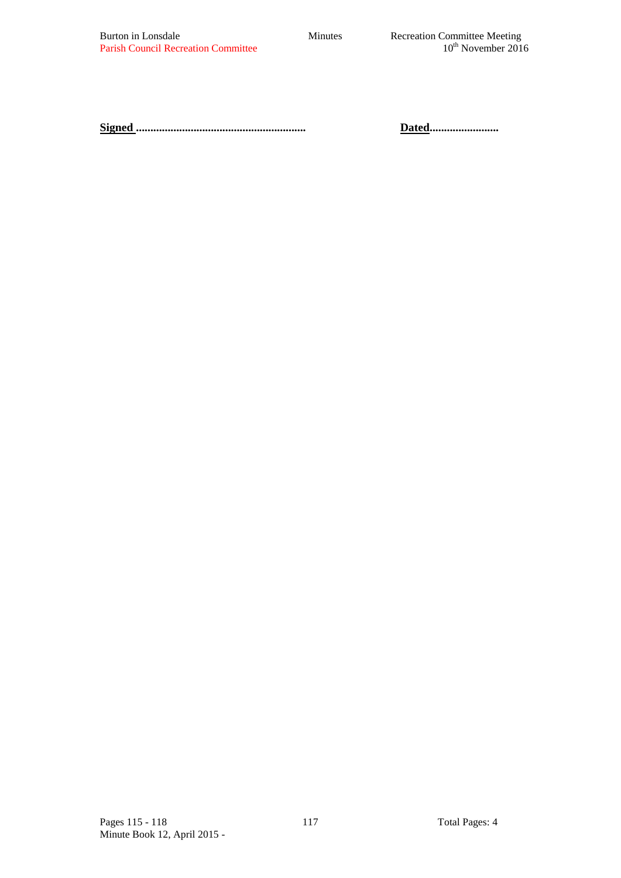**Signed ........................................................... Dated........................**